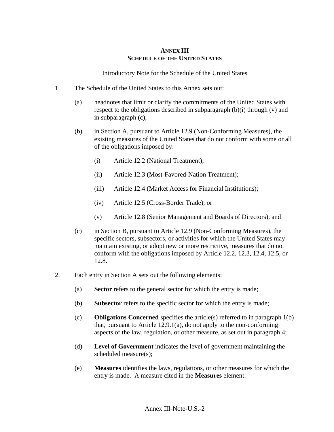## **ANNEX III SCHEDULE OF THE UNITED STATES**

## Introductory Note for the Schedule of the United States

- 1. The Schedule of the United States to this Annex sets out:
	- (a) headnotes that limit or clarify the commitments of the United States with respect to the obligations described in subparagraph (b)(i) through (v) and in subparagraph (c),
	- (b) in Section A, pursuant to Article 12.9 (Non-Conforming Measures), the existing measures of the United States that do not conform with some or all of the obligations imposed by:
		- (i) Article 12.2 (National Treatment);
		- (ii) Article 12.3 (Most-Favored-Nation Treatment);
		- (iii) Article 12.4 (Market Access for Financial Institutions);
		- (iv) Article 12.5 (Cross-Border Trade); or
		- (v) Article 12.8 (Senior Management and Boards of Directors), and
	- (c) in Section B, pursuant to Article 12.9 (Non-Conforming Measures), the specific sectors, subsectors, or activities for which the United States may maintain existing, or adopt new or more restrictive, measures that do not conform with the obligations imposed by Article 12.2, 12.3, 12.4, 12.5, or 12.8.
- 2. Each entry in Section A sets out the following elements:
	- (a) **Sector** refers to the general sector for which the entry is made;
	- (b) **Subsector** refers to the specific sector for which the entry is made;
	- (c) **Obligations Concerned** specifies the article(s) referred to in paragraph 1(b) that, pursuant to Article  $12.9.1(a)$ , do not apply to the non-conforming aspects of the law, regulation, or other measure, as set out in paragraph 4;
	- (d) **Level of Government** indicates the level of government maintaining the scheduled measure(s);
	- (e) **Measures** identifies the laws, regulations, or other measures for which the entry is made. A measure cited in the **Measures** element: